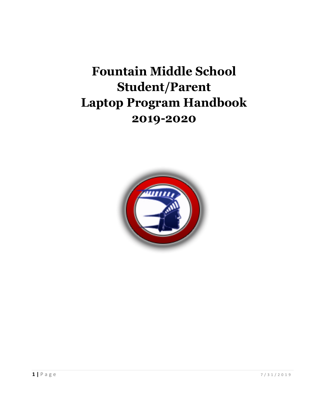# **Fountain Middle School Student/Parent Laptop Program Handbook 2019-2020**

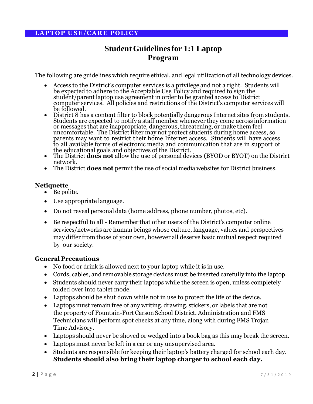# **StudentGuidelinesfor 1:1 Laptop Program**

The following are guidelines which require ethical, and legal utilization of all technology devices.

- Access to the District's computer services is a privilege and not a right. Students will be expected to adhere to the Acceptable Use Policy and required to sign the student/parent laptop use agreement in order to be granted access to District computer services. All policies and restrictions of the District's computer services will be followed.
- District 8 has a content filter to block potentially dangerous Internet sites from students. Students are expected to notify a staff member whenever they come across information or messages that are inappropriate, dangerous, threatening, or make them feel uncomfortable. The District filter may not protect students during home access, so parents may want to restrict their home Internet access. Students will have access to all available forms of electronic media and communication that are in support of the educational goals and objectives of the District.
- The District **does not** allow the use of personal devices (BYOD or BYOT) on the District network.
- The District **does not** permit the use of social media websites for District business.

#### **Netiquette**

- Be polite.
- Use appropriate language.
- Do not reveal personal data (home address, phone number, photos, etc).
- Be respectful to all Remember that other users of the District's computer online services/networks are human beings whose culture, language, values and perspectives may differ from those of your own, however all deserve basic mutual respect required by our society.

#### **General Precautions**

- No food or drink is allowed next to your laptop while it is in use.
- Cords, cables, and removable storage devices must be inserted carefully into the laptop.
- Students should never carry their laptops while the screen is open, unless completely folded over into tablet mode.
- Laptops should be shut down while not in use to protect the life of the device.
- Laptops must remain free of any writing, drawing, stickers, or labels that are not the property of Fountain-Fort Carson School District. Administration and FMS Technicians will perform spot checks at any time, along with during FMS Trojan Time Advisory.
- Laptops should never be shoved or wedged into a book bag as this may break the screen.
- Laptops must never be left in a car or any unsupervised area.
- Students are responsible for keeping their laptop's battery charged for school each day. **Students should also bring their laptop charger to school each day.**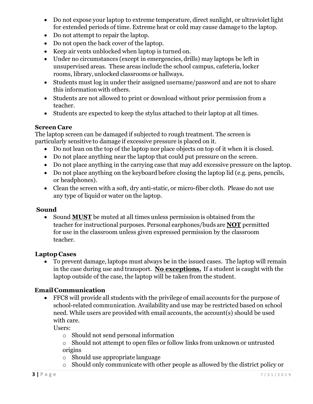- Do not expose your laptop to extreme temperature, direct sunlight, or ultraviolet light for extended periods of time. Extreme heat or cold may cause damage to the laptop.
- Do not attempt to repair the laptop.
- Do not open the back cover of the laptop.
- Keep air vents unblocked when laptop is turned on.
- Under no circumstances (except in emergencies, drills) may laptops be left in unsupervised areas. These areas include the school campus, cafeteria, locker rooms, library, unlocked classrooms or hallways.
- Students must log in under their assigned username/password and are not to share this information with others.
- Students are not allowed to print or download without prior permission from a teacher.
- Students are expected to keep the stylus attached to their laptop at all times.

### **Screen Care**

The laptop screen can be damaged if subjected to rough treatment. The screen is particularly sensitive to damage if excessive pressure is placed on it.

- Do not lean on the top of the laptop nor place objects on top of it when it is closed.
- Do not place anything near the laptop that could put pressure on the screen.
- Do not place anything in the carrying case that may add excessive pressure on the laptop.
- Do not place anything on the keyboard before closing the laptop lid (e.g. pens, pencils, or headphones).
- Clean the screen with a soft, dry anti-static, or micro-fiber cloth. Please do not use any type of liquid or water on the laptop.

# **Sound**

 Sound **MUST** be muted at all times unless permission is obtained from the teacher for instructional purposes. Personal earphones/buds are **NOT** permitted for use in the classroom unless given expressed permission by the classroom teacher.

# **Laptop Cases**

 To prevent damage, laptops must always be in the issued cases. The laptop will remain in the case during use and transport. **No exceptions.** If a student is caught with the laptop outside of the case, the laptop will be taken from the student.

# **Email Communication**

 FFC8 will provide all students with the privilege of email accounts for the purpose of school-related communication. Availability and use may be restricted based on school need. While users are provided with email accounts, the account(s) should be used with care.

Users:

- o Should not send personal information
- o Should not attempt to open files or follow links from unknown or untrusted origins
- o Should use appropriate language
- o Should only communicate with other people as allowed by the district policy or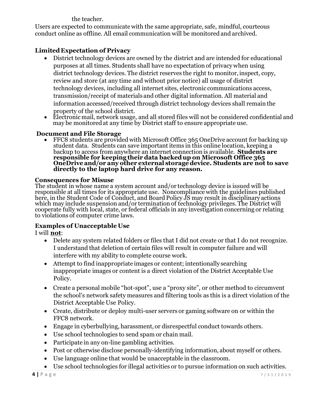the teacher.

Users are expected to communicate with the same appropriate, safe, mindful, courteous conduct online as offline. All email communication will be monitored and archived.

# **Limited Expectation of Privacy**

- District technology devices are owned by the district and are intended for educational purposes at all times. Students shall have no expectation of privacy when using district technology devices. The district reserves the right to monitor, inspect, copy, review and store (at any time and without prior notice) all usage of district technology devices, including all internet sites, electronic communications access, transmission/receipt of materials and other digital information. All material and information accessed/received through district technology devices shall remain the property of the school district.
- Electronic mail, network usage, and all stored files will not be considered confidential and may be monitored at any time by District staff to ensure appropriate use.

#### **Document and File Storage**

 FFC8 students are provided with Microsoft Office 365 OneDrive account for backing up student data. Students can save important items in this online location, keeping a backup to access from anywhere an internet connection is available. **Students are responsible for keeping their data backedup on Microsoft Office 365 OneDrive and/or any other external storagedevice. Students are not to save directly to the laptop hard drive for any reason.** 

#### **Consequences for Misuse**

The student in whose name a system account and/or technology device is issued will be responsible at all times for its appropriate use. Noncompliance with the guidelines published here, in the Student Code of Conduct, and Board Policy JS may result in disciplinary actions which may include suspension and/or termination of technology privileges. The District will cooperate fully with local, state, or federal officials in any investigation concerning or relating to violations of computer crime laws.

# **Examples of Unacceptable Use**

I will **not**:

- Delete any system related folders or files that I did not create or that I do not recognize. I understand that deletion of certain files will result in computer failure and will interfere with my ability to complete course work.
- Attempt to find inappropriate images or content; intentionally searching inappropriate images or content is a direct violation of the District Acceptable Use Policy.
- Create a personal mobile "hot-spot", use a "proxy site", or other method to circumvent the school's network safety measures and filtering tools as this is a direct violation of the District Acceptable Use Policy.
- Create, distribute or deploy multi-user servers or gaming software on or within the FFC8 network.
- Engage in cyberbullying, harassment, or disrespectful conduct towards others.
- Use school technologies to send spam or chain mail.
- Participate in any on-line gambling activities.
- Post or otherwise disclose personally-identifying information, about myself or others.
- Use language online that would be unacceptable in the classroom.
- Use school technologies for illegal activities or to pursue information on such activities.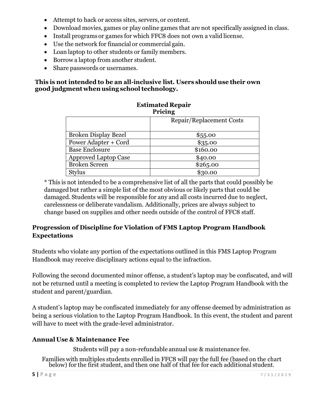- Attempt to hack or access sites, servers, or content.
- Download movies, games or play online games that are not specifically assigned in class.
- Install programs or games for which FFC8 does not own a valid license.
- Use the network for financial or commercial gain.
- Loan laptop to other students or family members.
- Borrow a laptop from another student.
- Share passwords or usernames.

#### **This is not intended to be an all-inclusive list. Users should use their own good judgment whenusing schooltechnology.**

|                             | <b>F</b> FICIIIL         |
|-----------------------------|--------------------------|
|                             | Repair/Replacement Costs |
| <b>Broken Display Bezel</b> | \$55.00                  |
| <b>Power Adapter + Cord</b> | \$35.00                  |
| <b>Base Enclosure</b>       | \$160.00                 |
| <b>Approved Laptop Case</b> | \$40.00                  |
| <b>Broken Screen</b>        | \$265.00                 |
| Stylus                      | \$30.00                  |

#### **Estimated Repair Price** in the price of the price of the price of the price of the price of the price of the price of the price of the price of the price of the price of the price of the price of the price of the price of the price of the

\* This is not intended to be a comprehensive list of all the parts that could possibly be damaged but rather a simple list of the most obvious or likely parts that could be damaged. Students will be responsible for any and all costs incurred due to neglect, carelessness or deliberate vandalism. Additionally, prices are always subject to change based on supplies and other needs outside of the control of FFC8 staff.

# **Progression of Discipline for Violation of FMS Laptop Program Handbook Expectations**

Students who violate any portion of the expectations outlined in this FMS Laptop Program Handbook may receive disciplinary actions equal to the infraction.

Following the second documented minor offense, a student's laptop may be confiscated, and will not be returned until a meeting is completed to review the Laptop Program Handbook with the student and parent/guardian.

A student's laptop may be confiscated immediately for any offense deemed by administration as being a serious violation to the Laptop Program Handbook. In this event, the student and parent will have to meet with the grade-level administrator.

# **Annual Use & Maintenance Fee**

Students will pay a non-refundable annual use & maintenance fee.

Families with multiples students enrolled in FFC8 will pay the full fee (based on the chart below) for the first student, and then one half of that fee for each additional student.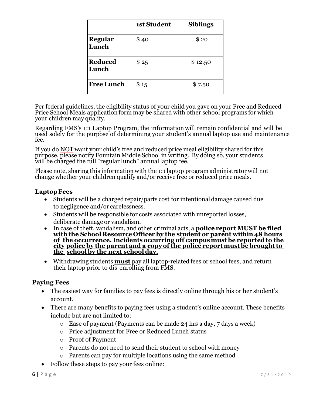|                         | <b>1st Student</b> | <b>Siblings</b> |
|-------------------------|--------------------|-----------------|
| Regular<br>Lunch        | \$40               | \$20            |
| <b>Reduced</b><br>Lunch | \$25               | \$12.50         |
| <b>Free Lunch</b>       | \$15               | \$7.50          |

Per federal guidelines, the eligibility status of your child you gave on your Free and Reduced Price School Meals application form may be shared with other school programs for which your children may qualify.

Regarding FMS's 1:1 Laptop Program, the information will remain confidential and will be used solely for the purpose of determining your student's annual laptop use and maintenance fee.

If you do NOT want your child's free and reduced price meal eligibility shared for this purpose, please notify Fountain Middle School in writing. By doing so, your students will be charged the full "regular lunch" annual laptop fee.

Please note, sharing this information with the 1:1 laptop program administrator will not change whether your children qualify and/or receive free or reduced price meals.

#### **LaptopFees**

- Students will be a charged repair/parts cost for intentional damage caused due to negligence and/or carelessness.
- Students will be responsible for costs associated with unreported losses, deliberate damage or vandalism.
- In case of theft, vandalism, and other criminal acts, a **police report MUST be filed with the School Resource Officer by the student or parent within48 hours of the occurrence. Incidents occurring off campusmust be reportedto the city police by the parent and a copy of the police report must be broughtto the school by the next school day.**
- Withdrawing students **must** pay all laptop-related fees or school fees, and return their laptop prior to dis-enrolling from FMS.

#### **Paying Fees**

- The easiest way for families to pay fees is directly online through his or her student's account.
- There are many benefits to paying fees using a student's online account. These benefits include but are not limited to:
	- $\circ$  Ease of payment (Payments can be made 24 hrs a day, 7 days a week)
	- o Price adjustment for Free or Reduced Lunch status
	- o Proof of Payment
	- o Parents do not need to send their student to school with money
	- o Parents can pay for multiple locations using the same method
- Follow these steps to pay your fees online: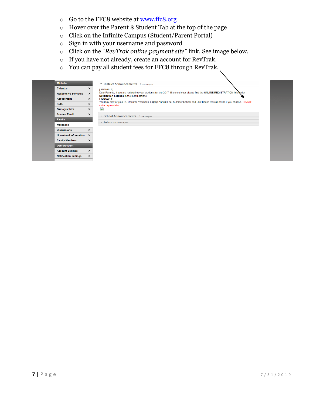- o Go to the FFC8 website at [www.ffc8.org](http://www.ffc8.org/)
- o Hover over the Parent \$ Student Tab at the top of the page
- o Click on the Infinite Campus (Student/Parent Portal)
- o Sign in with your username and password
- o Click on the "*RevTrak online payment site*" link. See image below.
- o If you have not already, create an account for RevTrak.
- o You can pay all student fees for FFC8 through RevTrak.

| <b>Michelle</b> |                              | District Announcements - 2 messages                                                                                                                                                          |
|-----------------|------------------------------|----------------------------------------------------------------------------------------------------------------------------------------------------------------------------------------------|
| Calendar        |                              | [06/01/2017]                                                                                                                                                                                 |
|                 | <b>Responsive Schedule</b>   | Dear Parents, If you are registering your students for the 2017-18 school year please find the ONLINE REGISTRATION link boder<br>$\rightarrow$<br>Notification Settings in the menu options. |
|                 | <b>Assessment</b>            | [06/24/2014]<br>$\rightarrow$                                                                                                                                                                |
| <b>Fees</b>     |                              | You may pay for your PE Uniform, Yearbook, Laptop Annual Fee, Summer School and Lost Books fees all online if you choose. RevTrak<br>online payment site.                                    |
|                 | Demographics                 | $\mathbf{L}$                                                                                                                                                                                 |
|                 | <b>Student Email</b>         | ⋗<br><b>School Announcements - 0 messages</b>                                                                                                                                                |
| Family          |                              |                                                                                                                                                                                              |
|                 | <b>Messages</b>              | Inbox - 0 messages                                                                                                                                                                           |
|                 | <b>Discussions</b>           |                                                                                                                                                                                              |
|                 | Household Information >      |                                                                                                                                                                                              |
|                 | <b>Family Members</b>        | $\rightarrow$                                                                                                                                                                                |
|                 | <b>User Account</b>          |                                                                                                                                                                                              |
|                 | <b>Account Settings</b>      |                                                                                                                                                                                              |
|                 | <b>Notification Settings</b> |                                                                                                                                                                                              |